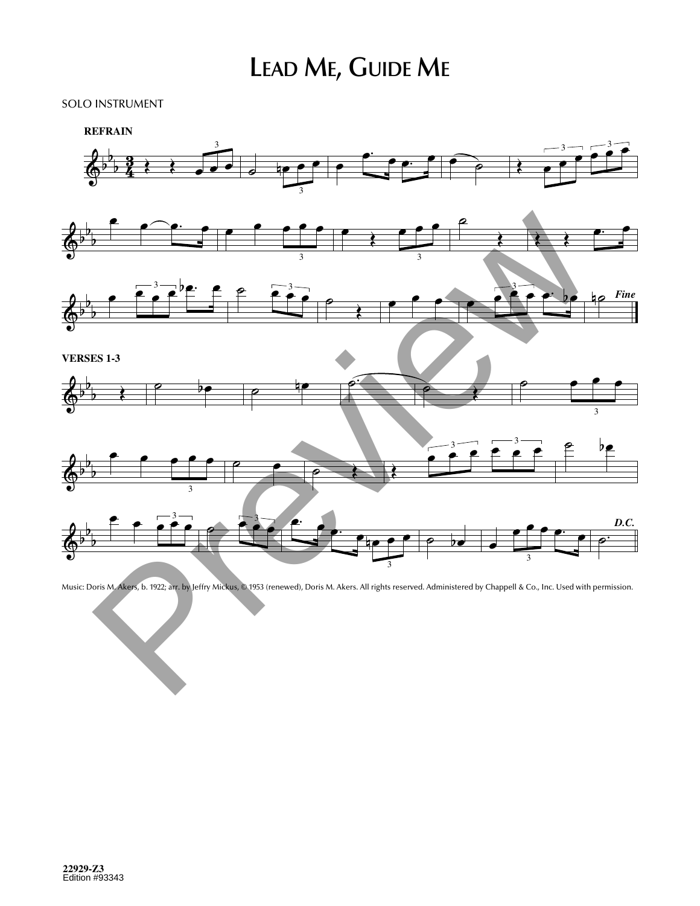## **LEAD ME, GUIDE ME**

3

n˙ *Fine*

## SOLO INSTRUMENT





Music: Doris M. Akers, b. 1922; arr. by Jeffry Mickus, © 1953 (renewed), Doris M. Akers. All rights reserved. Administered by Chappell & Co., Inc. Used with permission.